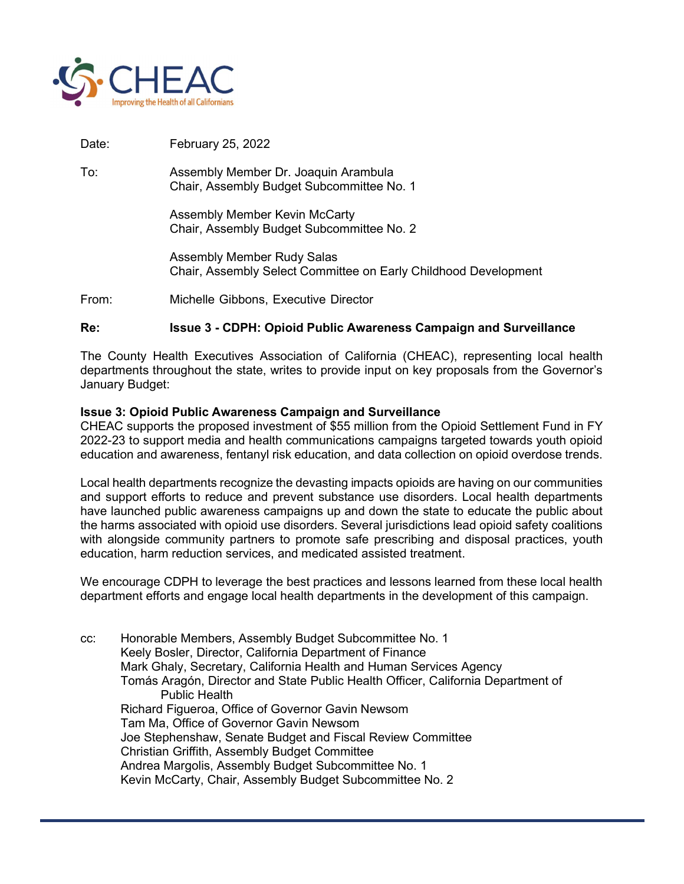

Date: February 25, 2022

To: Assembly Member Dr. Joaquin Arambula Chair, Assembly Budget Subcommittee No. 1

> Assembly Member Kevin McCarty Chair, Assembly Budget Subcommittee No. 2

 Assembly Member Rudy Salas Chair, Assembly Select Committee on Early Childhood Development

From: Michelle Gibbons, Executive Director

## Re: Issue 3 - CDPH: Opioid Public Awareness Campaign and Surveillance

The County Health Executives Association of California (CHEAC), representing local health departments throughout the state, writes to provide input on key proposals from the Governor's January Budget:

## Issue 3: Opioid Public Awareness Campaign and Surveillance

CHEAC supports the proposed investment of \$55 million from the Opioid Settlement Fund in FY 2022-23 to support media and health communications campaigns targeted towards youth opioid education and awareness, fentanyl risk education, and data collection on opioid overdose trends.

Local health departments recognize the devasting impacts opioids are having on our communities and support efforts to reduce and prevent substance use disorders. Local health departments have launched public awareness campaigns up and down the state to educate the public about the harms associated with opioid use disorders. Several jurisdictions lead opioid safety coalitions with alongside community partners to promote safe prescribing and disposal practices, youth education, harm reduction services, and medicated assisted treatment.

We encourage CDPH to leverage the best practices and lessons learned from these local health department efforts and engage local health departments in the development of this campaign.

cc: Honorable Members, Assembly Budget Subcommittee No. 1 Keely Bosler, Director, California Department of Finance Mark Ghaly, Secretary, California Health and Human Services Agency Tomás Aragón, Director and State Public Health Officer, California Department of Public Health Richard Figueroa, Office of Governor Gavin Newsom Tam Ma, Office of Governor Gavin Newsom Joe Stephenshaw, Senate Budget and Fiscal Review Committee Christian Griffith, Assembly Budget Committee Andrea Margolis, Assembly Budget Subcommittee No. 1 Kevin McCarty, Chair, Assembly Budget Subcommittee No. 2